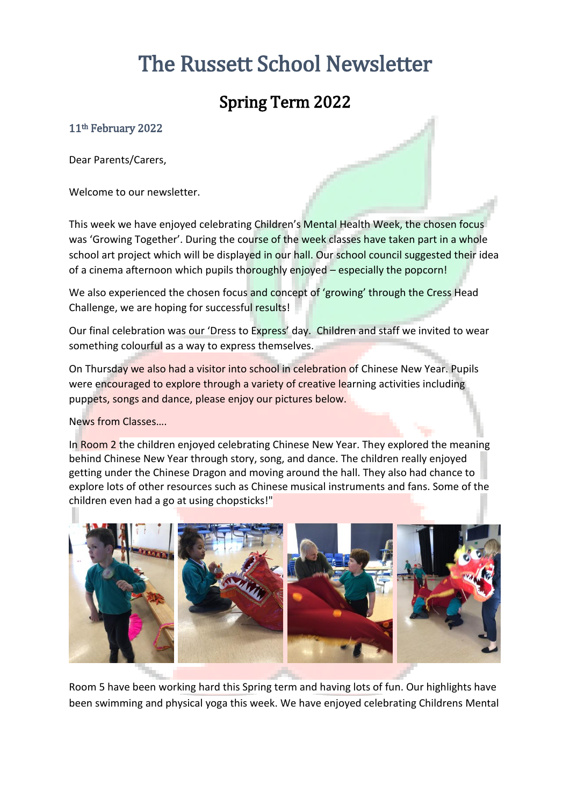# The Russett School Newsletter

## Spring Term 2022

## 11th February 2022

Dear Parents/Carers,

Welcome to our newsletter.

This week we have enjoyed celebrating Children's Mental Health Week, the chosen focus was 'Growing Together'. During the course of the week classes have taken part in a whole school art project which will be displayed in our hall. Our school council suggested their idea of a cinema afternoon which pupils thoroughly enjoyed – especially the popcorn!

We also experienced the chosen focus and concept of 'growing' through the Cress Head Challenge, we are hoping for successful results!

Our final celebration was our 'Dress to Express' day. Children and staff we invited to wear something colourful as a way to express themselves.

On Thursday we also had a visitor into school in celebration of Chinese New Year. Pupils were encouraged to explore through a variety of creative learning activities including puppets, songs and dance, please enjoy our pictures below.

News from Classes….

In Room 2 the children enjoyed celebrating Chinese New Year. They explored the meaning behind Chinese New Year through story, song, and dance. The children really enjoyed getting under the Chinese Dragon and moving around the hall. They also had chance to explore lots of other resources such as Chinese musical instruments and fans. Some of the children even had a go at using chopsticks!"



Room 5 have been working hard this Spring term and having lots of fun. Our highlights have been swimming and physical yoga this week. We have enjoyed celebrating Childrens Mental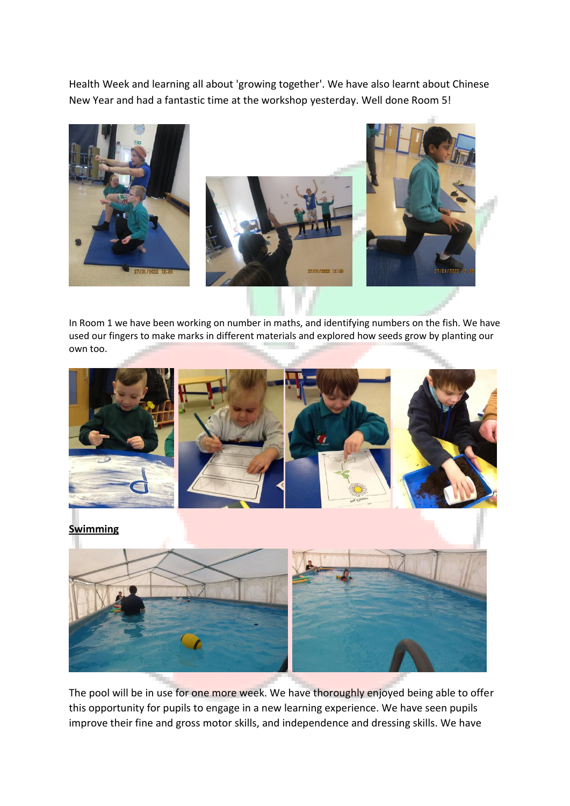Health Week and learning all about 'growing together'. We have also learnt about Chinese New Year and had a fantastic time at the workshop yesterday. Well done Room 5!





In Room 1 we have been working on number in maths, and identifying numbers on the fish. We have used our fingers to make marks in different materials and explored how seeds grow by planting our own too.



The pool will be in use for one more week. We have thoroughly enjoyed being able to offer this opportunity for pupils to engage in a new learning experience. We have seen pupils improve their fine and gross motor skills, and independence and dressing skills. We have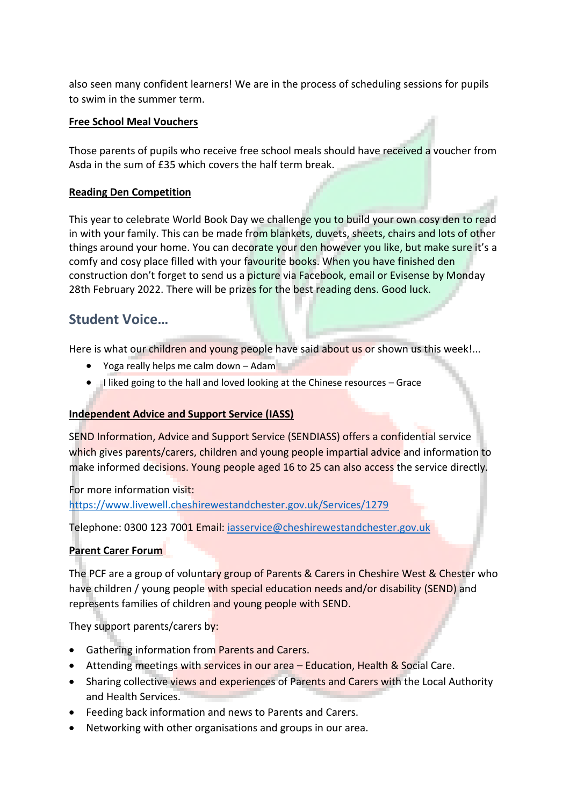also seen many confident learners! We are in the process of scheduling sessions for pupils to swim in the summer term.

### **Free School Meal Vouchers**

Those parents of pupils who receive free school meals should have received a voucher from Asda in the sum of £35 which covers the half term break.

## **Reading Den Competition**

This year to celebrate World Book Day we challenge you to build your own cosy den to read in with your family. This can be made from blankets, duvets, sheets, chairs and lots of other things around your home. You can decorate your den however you like, but make sure it's a comfy and cosy place filled with your favourite books. When you have finished den construction don't forget to send us a picture via Facebook, email or Evisense by Monday 28th February 2022. There will be prizes for the best reading dens. Good luck.

## **Student Voice…**

Here is what our children and young people have said about us or shown us this week!...

- Yoga really helps me calm down Adam
- I liked going to the hall and loved looking at the Chinese resources Grace

## **Independent Advice and Support Service (IASS)**

SEND Information, Advice and Support Service (SENDIASS) offers a confidential service which gives parents/carers, children and young people impartial advice and information to make informed decisions. Young people aged 16 to 25 can also access the service directly.

For more information visit: <https://www.livewell.cheshirewestandchester.gov.uk/Services/1279>

Telephone: 0300 123 7001 Email: [iasservice@cheshirewestandchester.gov.uk](mailto:iasservice@cheshirewestandchester.gov.uk)

## **Parent Carer Forum**

The PCF are a group of voluntary group of Parents & Carers in Cheshire West & Chester who have children / young people with special education needs and/or disability (SEND) and represents families of children and young people with SEND.

They support parents/carers by:

- **•** Gathering information from Parents and Carers.
- Attending meetings with services in our area Education, Health & Social Care.
- Sharing collective views and experiences of Parents and Carers with the Local Authority and Health Services.
- Feeding back information and news to Parents and Carers.
- Networking with other organisations and groups in our area.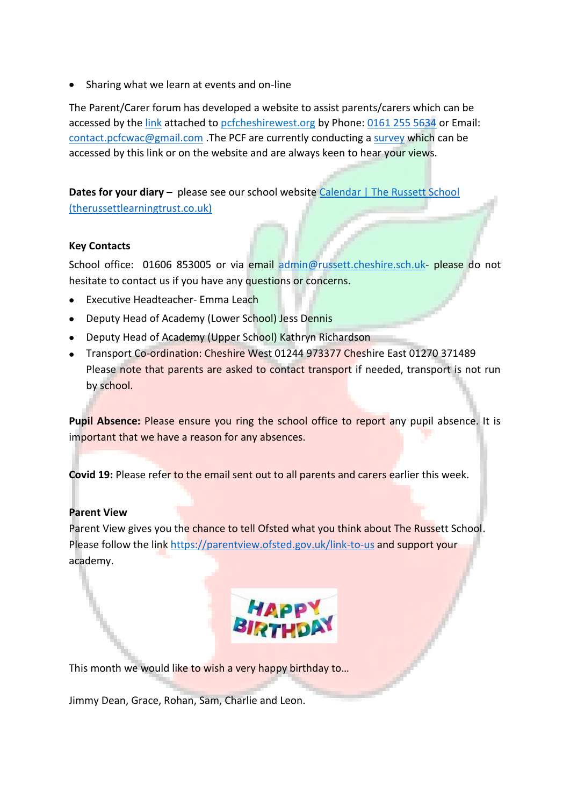• Sharing what we learn at events and on-line

The Parent/Carer forum has developed a website to assist parents/carers which can be accessed by th[e link](https://www.pcfcheshirewest.org/who-we-are) attached to pcfcheshirewest.org by Phone[: 0161 255 5634](tel:0161%20255%205634) or Email: [contact.pcfcwac@gmail.com](mailto:contact.pcfcwac@gmail.com) .The PCF are currently conducting a [survey](https://www.pcfcheshirewest.org/survey) which can be accessed by this link or on the website and are always keen to hear your views.

**Dates for your diary –** please see our school website Calendar | The Russett School [\(therussettlearningtrust.co.uk\)](https://www.therussettlearningtrust.co.uk/russett-school/parents/calendar/)

## **Key Contacts**

School office: 01606 853005 or via email [admin@russett.cheshire.sch.uk-](mailto:admin@russett.cheshire.sch.uk) please do not hesitate to contact us if you have any questions or concerns.

- Executive Headteacher- Emma Leach
- Deputy Head of Academy (Lower School) Jess Dennis
- Deputy Head of Academy (Upper School) Kathryn Richardson
- Transport Co-ordination: Cheshire West 01244 973377 Cheshire East 01270 371489 Please note that parents are asked to contact transport if needed, transport is not run by school.

Pupil Absence: Please ensure you ring the school office to report any pupil absence. It is important that we have a reason for any absences.

**Covid 19:** Please refer to the email sent out to all parents and carers earlier this week.

#### **Parent View**

Parent View gives you the chance to tell Ofsted what you think about The Russett School. Please follow the link<https://parentview.ofsted.gov.uk/link-to-us> and support your academy.



This month we would like to wish a very happy birthday to...

Jimmy Dean, Grace, Rohan, Sam, Charlie and Leon.